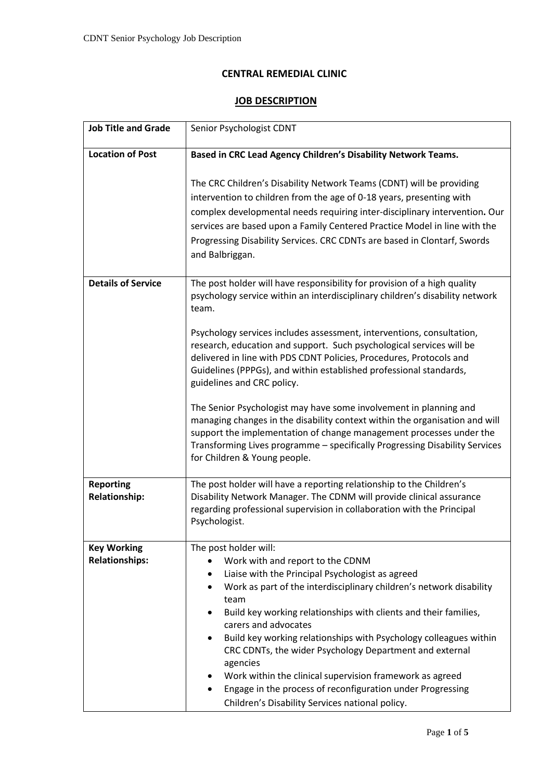## **CENTRAL REMEDIAL CLINIC**

## **JOB DESCRIPTION**

| <b>Job Title and Grade</b>                  | Senior Psychologist CDNT                                                                                                                                                                                                                                                                                                                                                                                                                                                                                                                                                                                                       |
|---------------------------------------------|--------------------------------------------------------------------------------------------------------------------------------------------------------------------------------------------------------------------------------------------------------------------------------------------------------------------------------------------------------------------------------------------------------------------------------------------------------------------------------------------------------------------------------------------------------------------------------------------------------------------------------|
| <b>Location of Post</b>                     | Based in CRC Lead Agency Children's Disability Network Teams.                                                                                                                                                                                                                                                                                                                                                                                                                                                                                                                                                                  |
|                                             | The CRC Children's Disability Network Teams (CDNT) will be providing<br>intervention to children from the age of 0-18 years, presenting with<br>complex developmental needs requiring inter-disciplinary intervention. Our<br>services are based upon a Family Centered Practice Model in line with the<br>Progressing Disability Services. CRC CDNTs are based in Clontarf, Swords<br>and Balbriggan.                                                                                                                                                                                                                         |
| <b>Details of Service</b>                   | The post holder will have responsibility for provision of a high quality<br>psychology service within an interdisciplinary children's disability network<br>team.                                                                                                                                                                                                                                                                                                                                                                                                                                                              |
|                                             | Psychology services includes assessment, interventions, consultation,<br>research, education and support. Such psychological services will be<br>delivered in line with PDS CDNT Policies, Procedures, Protocols and<br>Guidelines (PPPGs), and within established professional standards,<br>guidelines and CRC policy.                                                                                                                                                                                                                                                                                                       |
|                                             | The Senior Psychologist may have some involvement in planning and<br>managing changes in the disability context within the organisation and will<br>support the implementation of change management processes under the<br>Transforming Lives programme - specifically Progressing Disability Services<br>for Children & Young people.                                                                                                                                                                                                                                                                                         |
| <b>Reporting</b><br><b>Relationship:</b>    | The post holder will have a reporting relationship to the Children's<br>Disability Network Manager. The CDNM will provide clinical assurance<br>regarding professional supervision in collaboration with the Principal<br>Psychologist.                                                                                                                                                                                                                                                                                                                                                                                        |
| <b>Key Working</b><br><b>Relationships:</b> | The post holder will:<br>Work with and report to the CDNM<br>Liaise with the Principal Psychologist as agreed<br>Work as part of the interdisciplinary children's network disability<br>$\bullet$<br>team<br>Build key working relationships with clients and their families,<br>carers and advocates<br>Build key working relationships with Psychology colleagues within<br>CRC CDNTs, the wider Psychology Department and external<br>agencies<br>Work within the clinical supervision framework as agreed<br>Engage in the process of reconfiguration under Progressing<br>Children's Disability Services national policy. |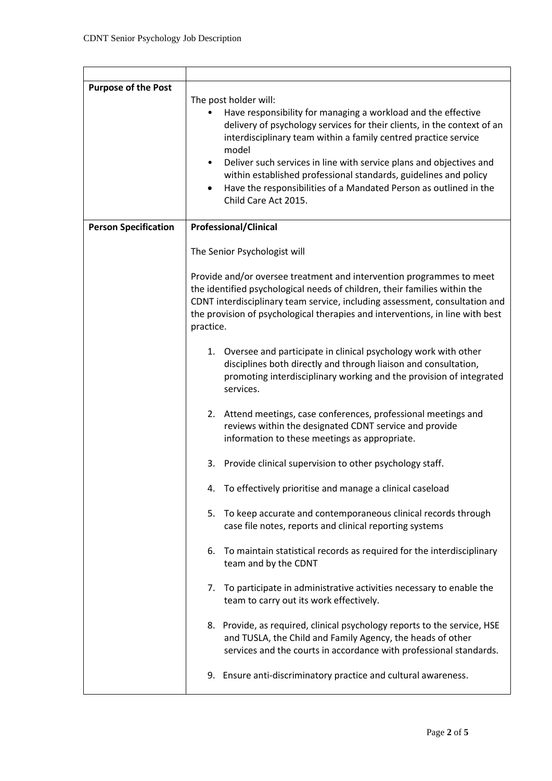| <b>Purpose of the Post</b>  | The post holder will:<br>Have responsibility for managing a workload and the effective<br>delivery of psychology services for their clients, in the context of an<br>interdisciplinary team within a family centred practice service<br>model<br>Deliver such services in line with service plans and objectives and<br>$\bullet$<br>within established professional standards, guidelines and policy<br>Have the responsibilities of a Mandated Person as outlined in the<br>Child Care Act 2015. |
|-----------------------------|----------------------------------------------------------------------------------------------------------------------------------------------------------------------------------------------------------------------------------------------------------------------------------------------------------------------------------------------------------------------------------------------------------------------------------------------------------------------------------------------------|
| <b>Person Specification</b> | <b>Professional/Clinical</b>                                                                                                                                                                                                                                                                                                                                                                                                                                                                       |
|                             | The Senior Psychologist will                                                                                                                                                                                                                                                                                                                                                                                                                                                                       |
|                             | Provide and/or oversee treatment and intervention programmes to meet<br>the identified psychological needs of children, their families within the<br>CDNT interdisciplinary team service, including assessment, consultation and<br>the provision of psychological therapies and interventions, in line with best<br>practice.                                                                                                                                                                     |
|                             | 1. Oversee and participate in clinical psychology work with other<br>disciplines both directly and through liaison and consultation,<br>promoting interdisciplinary working and the provision of integrated<br>services.                                                                                                                                                                                                                                                                           |
|                             | 2. Attend meetings, case conferences, professional meetings and<br>reviews within the designated CDNT service and provide<br>information to these meetings as appropriate.                                                                                                                                                                                                                                                                                                                         |
|                             | Provide clinical supervision to other psychology staff.<br>3.                                                                                                                                                                                                                                                                                                                                                                                                                                      |
|                             | 4.<br>To effectively prioritise and manage a clinical caseload                                                                                                                                                                                                                                                                                                                                                                                                                                     |
|                             | To keep accurate and contemporaneous clinical records through<br>5.<br>case file notes, reports and clinical reporting systems                                                                                                                                                                                                                                                                                                                                                                     |
|                             | To maintain statistical records as required for the interdisciplinary<br>6.<br>team and by the CDNT                                                                                                                                                                                                                                                                                                                                                                                                |
|                             | To participate in administrative activities necessary to enable the<br>7.<br>team to carry out its work effectively.                                                                                                                                                                                                                                                                                                                                                                               |
|                             | Provide, as required, clinical psychology reports to the service, HSE<br>8.<br>and TUSLA, the Child and Family Agency, the heads of other<br>services and the courts in accordance with professional standards.                                                                                                                                                                                                                                                                                    |
|                             | 9. Ensure anti-discriminatory practice and cultural awareness.                                                                                                                                                                                                                                                                                                                                                                                                                                     |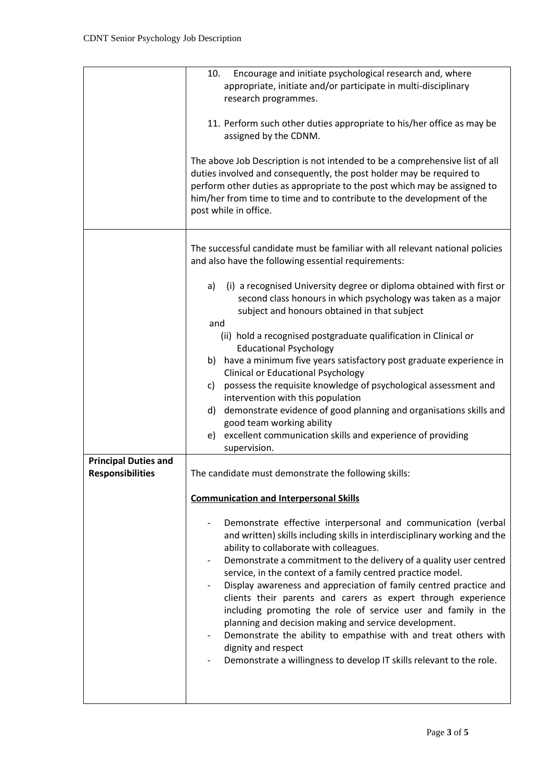|                                                        | Encourage and initiate psychological research and, where<br>10.<br>appropriate, initiate and/or participate in multi-disciplinary<br>research programmes.                                                                                                                                                                                                                                                                                                                                                                                                                                                                                                                                                                                                     |
|--------------------------------------------------------|---------------------------------------------------------------------------------------------------------------------------------------------------------------------------------------------------------------------------------------------------------------------------------------------------------------------------------------------------------------------------------------------------------------------------------------------------------------------------------------------------------------------------------------------------------------------------------------------------------------------------------------------------------------------------------------------------------------------------------------------------------------|
|                                                        | 11. Perform such other duties appropriate to his/her office as may be<br>assigned by the CDNM.                                                                                                                                                                                                                                                                                                                                                                                                                                                                                                                                                                                                                                                                |
|                                                        | The above Job Description is not intended to be a comprehensive list of all<br>duties involved and consequently, the post holder may be required to<br>perform other duties as appropriate to the post which may be assigned to<br>him/her from time to time and to contribute to the development of the<br>post while in office.                                                                                                                                                                                                                                                                                                                                                                                                                             |
|                                                        | The successful candidate must be familiar with all relevant national policies<br>and also have the following essential requirements:                                                                                                                                                                                                                                                                                                                                                                                                                                                                                                                                                                                                                          |
|                                                        | (i) a recognised University degree or diploma obtained with first or<br>a)<br>second class honours in which psychology was taken as a major<br>subject and honours obtained in that subject                                                                                                                                                                                                                                                                                                                                                                                                                                                                                                                                                                   |
|                                                        | and<br>(ii) hold a recognised postgraduate qualification in Clinical or                                                                                                                                                                                                                                                                                                                                                                                                                                                                                                                                                                                                                                                                                       |
|                                                        | <b>Educational Psychology</b><br>have a minimum five years satisfactory post graduate experience in<br>b)<br><b>Clinical or Educational Psychology</b>                                                                                                                                                                                                                                                                                                                                                                                                                                                                                                                                                                                                        |
|                                                        | possess the requisite knowledge of psychological assessment and<br>c)<br>intervention with this population                                                                                                                                                                                                                                                                                                                                                                                                                                                                                                                                                                                                                                                    |
|                                                        | demonstrate evidence of good planning and organisations skills and<br>d)<br>good team working ability                                                                                                                                                                                                                                                                                                                                                                                                                                                                                                                                                                                                                                                         |
|                                                        | excellent communication skills and experience of providing<br>e)<br>supervision.                                                                                                                                                                                                                                                                                                                                                                                                                                                                                                                                                                                                                                                                              |
| <b>Principal Duties and</b><br><b>Responsibilities</b> | The candidate must demonstrate the following skills:                                                                                                                                                                                                                                                                                                                                                                                                                                                                                                                                                                                                                                                                                                          |
|                                                        | <b>Communication and Interpersonal Skills</b>                                                                                                                                                                                                                                                                                                                                                                                                                                                                                                                                                                                                                                                                                                                 |
|                                                        | Demonstrate effective interpersonal and communication (verbal<br>and written) skills including skills in interdisciplinary working and the<br>ability to collaborate with colleagues.<br>Demonstrate a commitment to the delivery of a quality user centred<br>service, in the context of a family centred practice model.<br>Display awareness and appreciation of family centred practice and<br>clients their parents and carers as expert through experience<br>including promoting the role of service user and family in the<br>planning and decision making and service development.<br>Demonstrate the ability to empathise with and treat others with<br>dignity and respect<br>Demonstrate a willingness to develop IT skills relevant to the role. |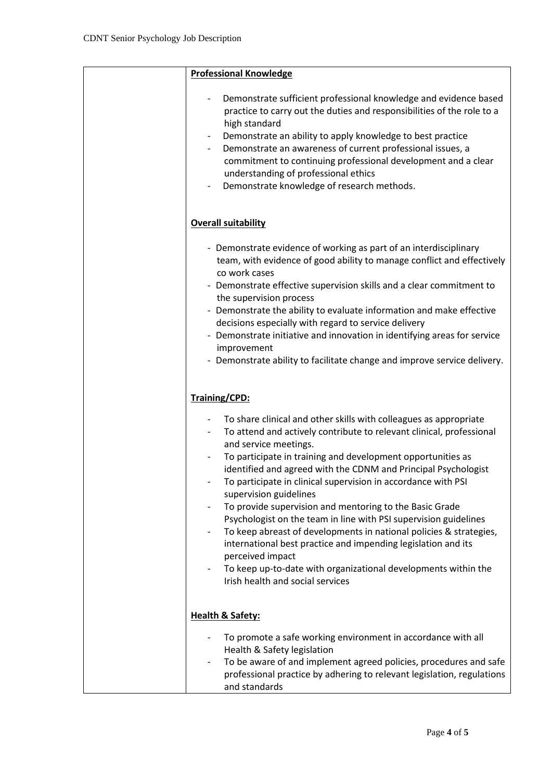| <b>Professional Knowledge</b>                                                                                                                                                                                                                                                                                                                                                                                                                                                                                                                                                                                                                                                                                                                                                                  |
|------------------------------------------------------------------------------------------------------------------------------------------------------------------------------------------------------------------------------------------------------------------------------------------------------------------------------------------------------------------------------------------------------------------------------------------------------------------------------------------------------------------------------------------------------------------------------------------------------------------------------------------------------------------------------------------------------------------------------------------------------------------------------------------------|
| Demonstrate sufficient professional knowledge and evidence based<br>practice to carry out the duties and responsibilities of the role to a<br>high standard<br>Demonstrate an ability to apply knowledge to best practice<br>Demonstrate an awareness of current professional issues, a<br>commitment to continuing professional development and a clear<br>understanding of professional ethics<br>Demonstrate knowledge of research methods.                                                                                                                                                                                                                                                                                                                                                 |
| <b>Overall suitability</b>                                                                                                                                                                                                                                                                                                                                                                                                                                                                                                                                                                                                                                                                                                                                                                     |
| - Demonstrate evidence of working as part of an interdisciplinary<br>team, with evidence of good ability to manage conflict and effectively<br>co work cases<br>Demonstrate effective supervision skills and a clear commitment to<br>the supervision process<br>- Demonstrate the ability to evaluate information and make effective<br>decisions especially with regard to service delivery<br>Demonstrate initiative and innovation in identifying areas for service<br>improvement<br>- Demonstrate ability to facilitate change and improve service delivery.                                                                                                                                                                                                                             |
| Training/CPD:                                                                                                                                                                                                                                                                                                                                                                                                                                                                                                                                                                                                                                                                                                                                                                                  |
| To share clinical and other skills with colleagues as appropriate<br>To attend and actively contribute to relevant clinical, professional<br>and service meetings.<br>To participate in training and development opportunities as<br>identified and agreed with the CDNM and Principal Psychologist<br>To participate in clinical supervision in accordance with PSI<br>supervision guidelines<br>To provide supervision and mentoring to the Basic Grade<br>Psychologist on the team in line with PSI supervision guidelines<br>To keep abreast of developments in national policies & strategies,<br>international best practice and impending legislation and its<br>perceived impact<br>To keep up-to-date with organizational developments within the<br>Irish health and social services |
| <b>Health &amp; Safety:</b>                                                                                                                                                                                                                                                                                                                                                                                                                                                                                                                                                                                                                                                                                                                                                                    |
| To promote a safe working environment in accordance with all<br>Health & Safety legislation<br>To be aware of and implement agreed policies, procedures and safe<br>professional practice by adhering to relevant legislation, regulations<br>and standards                                                                                                                                                                                                                                                                                                                                                                                                                                                                                                                                    |